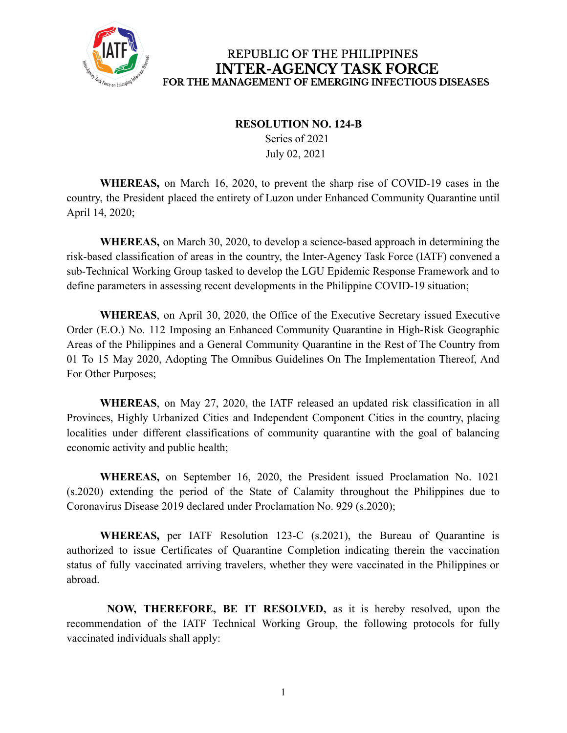

REPUBLIC OF THE PHILIPPINES **INTER-AGENCY TASK FORCE** FOR THE MANAGEMENT OF EMERGING INFECTIOUS DISEASES

## **RESOLUTION NO. 124-B**

Series of 2021 July 02, 2021

**WHEREAS,** on March 16, 2020, to prevent the sharp rise of COVID-19 cases in the country, the President placed the entirety of Luzon under Enhanced Community Quarantine until April 14, 2020;

**WHEREAS,** on March 30, 2020, to develop a science-based approach in determining the risk-based classification of areas in the country, the Inter-Agency Task Force (IATF) convened a sub-Technical Working Group tasked to develop the LGU Epidemic Response Framework and to define parameters in assessing recent developments in the Philippine COVID-19 situation;

**WHEREAS**, on April 30, 2020, the Office of the Executive Secretary issued Executive Order (E.O.) No. 112 Imposing an Enhanced Community Quarantine in High-Risk Geographic Areas of the Philippines and a General Community Quarantine in the Rest of The Country from 01 To 15 May 2020, Adopting The Omnibus Guidelines On The Implementation Thereof, And For Other Purposes;

**WHEREAS**, on May 27, 2020, the IATF released an updated risk classification in all Provinces, Highly Urbanized Cities and Independent Component Cities in the country, placing localities under different classifications of community quarantine with the goal of balancing economic activity and public health;

**WHEREAS,** on September 16, 2020, the President issued Proclamation No. 1021 (s.2020) extending the period of the State of Calamity throughout the Philippines due to Coronavirus Disease 2019 declared under Proclamation No. 929 (s.2020);

**WHEREAS,** per IATF Resolution 123-C (s.2021), the Bureau of Quarantine is authorized to issue Certificates of Quarantine Completion indicating therein the vaccination status of fully vaccinated arriving travelers, whether they were vaccinated in the Philippines or abroad.

**NOW, THEREFORE, BE IT RESOLVED,** as it is hereby resolved, upon the recommendation of the IATF Technical Working Group, the following protocols for fully vaccinated individuals shall apply: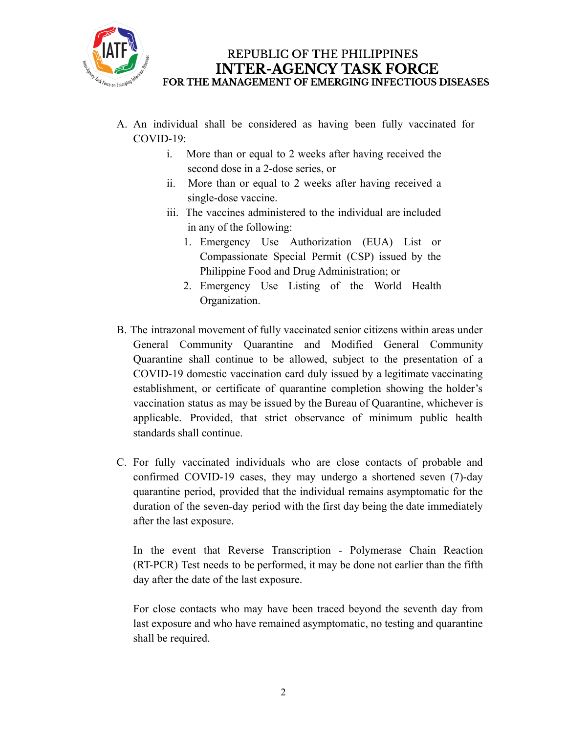

- A. An individual shall be considered as having been fully vaccinated for COVID-19:
	- i. More than or equal to 2 weeks after having received the second dose in a 2-dose series, or
	- ii. More than or equal to 2 weeks after having received a single-dose vaccine.
	- iii. The vaccines administered to the individual are included in any of the following:
		- 1. Emergency Use Authorization (EUA) List or Compassionate Special Permit (CSP) issued by the Philippine Food and Drug Administration; or
		- 2. Emergency Use Listing of the World Health Organization.
- B. The intrazonal movement of fully vaccinated senior citizens within areas under General Community Quarantine and Modified General Community Quarantine shall continue to be allowed, subject to the presentation of a COVID-19 domestic vaccination card duly issued by a legitimate vaccinating establishment, or certificate of quarantine completion showing the holder's vaccination status as may be issued by the Bureau of Quarantine, whichever is applicable. Provided, that strict observance of minimum public health standards shall continue.
- C. For fully vaccinated individuals who are close contacts of probable and confirmed COVID-19 cases, they may undergo a shortened seven (7)-day quarantine period, provided that the individual remains asymptomatic for the duration of the seven-day period with the first day being the date immediately after the last exposure.

In the event that Reverse Transcription - Polymerase Chain Reaction (RT-PCR) Test needs to be performed, it may be done not earlier than the fifth day after the date of the last exposure.

For close contacts who may have been traced beyond the seventh day from last exposure and who have remained asymptomatic, no testing and quarantine shall be required.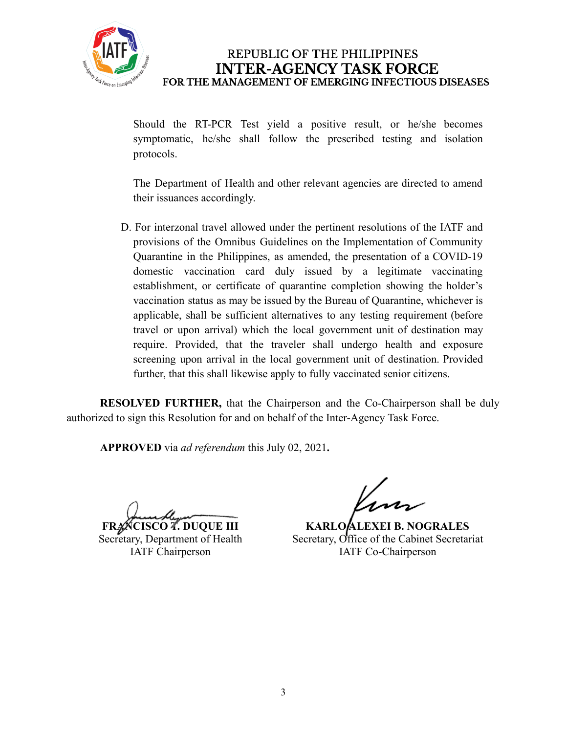

REPUBLIC OF THE PHILIPPINES **INTER-AGENCY TASK FORCE** FOR THE MANAGEMENT OF EMERGING INFECTIOUS DISEASES

Should the RT-PCR Test yield a positive result, or he/she becomes symptomatic, he/she shall follow the prescribed testing and isolation protocols.

The Department of Health and other relevant agencies are directed to amend their issuances accordingly.

D. For interzonal travel allowed under the pertinent resolutions of the IATF and provisions of the Omnibus Guidelines on the Implementation of Community Quarantine in the Philippines, as amended, the presentation of a COVID-19 domestic vaccination card duly issued by a legitimate vaccinating establishment, or certificate of quarantine completion showing the holder's vaccination status as may be issued by the Bureau of Quarantine, whichever is applicable, shall be sufficient alternatives to any testing requirement (before travel or upon arrival) which the local government unit of destination may require. Provided, that the traveler shall undergo health and exposure screening upon arrival in the local government unit of destination. Provided further, that this shall likewise apply to fully vaccinated senior citizens.

**RESOLVED FURTHER,** that the Chairperson and the Co-Chairperson shall be duly authorized to sign this Resolution for and on behalf of the Inter-Agency Task Force.

**APPROVED** via *ad referendum* this July 02, 2021**.**

**FRANCISCO T. DUQUE III** Secretary, Department of Health IATF Chairperson

**KARLO ALEXEI B. NOGRALES** Secretary, Office of the Cabinet Secretariat IATF Co-Chairperson